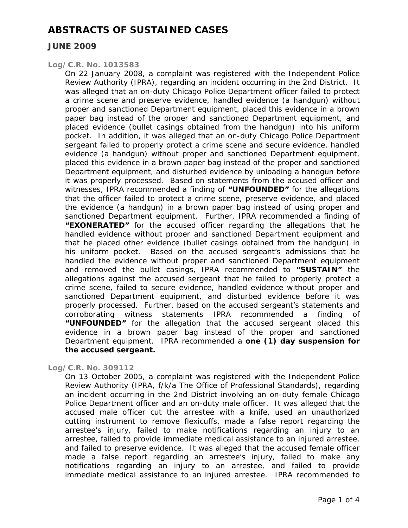## **JUNE 2009**

### *Log/C.R. No. 1013583*

On 22 January 2008, a complaint was registered with the Independent Police Review Authority (IPRA), regarding an incident occurring in the 2nd District. It was alleged that an on-duty Chicago Police Department officer failed to protect a crime scene and preserve evidence, handled evidence (a handgun) without proper and sanctioned Department equipment, placed this evidence in a brown paper bag instead of the proper and sanctioned Department equipment, and placed evidence (bullet casings obtained from the handgun) into his uniform pocket. In addition, it was alleged that an on-duty Chicago Police Department sergeant failed to properly protect a crime scene and secure evidence, handled evidence (a handgun) without proper and sanctioned Department equipment, placed this evidence in a brown paper bag instead of the proper and sanctioned Department equipment, and disturbed evidence by unloading a handgun before it was properly processed. Based on statements from the accused officer and witnesses, IPRA recommended a finding of **"UNFOUNDED"** for the allegations that the officer failed to protect a crime scene, preserve evidence, and placed the evidence (a handgun) in a brown paper bag instead of using proper and sanctioned Department equipment. Further, IPRA recommended a finding of **"EXONERATED"** for the accused officer regarding the allegations that he handled evidence without proper and sanctioned Department equipment and that he placed other evidence (bullet casings obtained from the handgun) in his uniform pocket. Based on the accused sergeant's admissions that he handled the evidence without proper and sanctioned Department equipment and removed the bullet casings, IPRA recommended to **"SUSTAIN"** the allegations against the accused sergeant that he failed to properly protect a crime scene, failed to secure evidence, handled evidence without proper and sanctioned Department equipment, and disturbed evidence before it was properly processed. Further, based on the accused sergeant's statements and corroborating witness statements IPRA recommended a finding of **"UNFOUNDED"** for the allegation that the accused sergeant placed this evidence in a brown paper bag instead of the proper and sanctioned Department equipment. IPRA recommended a **one (1) day suspension for the accused sergeant.** 

#### *Log/C.R. No. 309112*

On 13 October 2005, a complaint was registered with the Independent Police Review Authority (IPRA, f/k/a The Office of Professional Standards), regarding an incident occurring in the 2nd District involving an on-duty female Chicago Police Department officer and an on-duty male officer. It was alleged that the accused male officer cut the arrestee with a knife, used an unauthorized cutting instrument to remove flexicuffs, made a false report regarding the arrestee's injury, failed to make notifications regarding an injury to an arrestee, failed to provide immediate medical assistance to an injured arrestee, and failed to preserve evidence. It was alleged that the accused female officer made a false report regarding an arrestee's injury, failed to make any notifications regarding an injury to an arrestee, and failed to provide immediate medical assistance to an injured arrestee. IPRA recommended to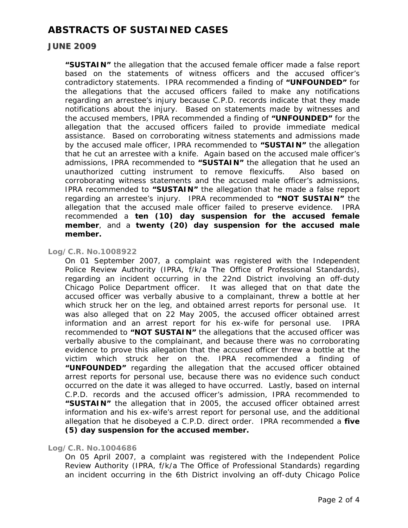### **JUNE 2009**

**"SUSTAIN"** the allegation that the accused female officer made a false report based on the statements of witness officers and the accused officer's contradictory statements. IPRA recommended a finding of **"UNFOUNDED"** for the allegations that the accused officers failed to make any notifications regarding an arrestee's injury because C.P.D. records indicate that they made notifications about the injury. Based on statements made by witnesses and the accused members, IPRA recommended a finding of **"UNFOUNDED"** for the allegation that the accused officers failed to provide immediate medical assistance. Based on corroborating witness statements and admissions made by the accused male officer, IPRA recommended to **"SUSTAIN"** the allegation that he cut an arrestee with a knife. Again based on the accused male officer's admissions, IPRA recommended to **"SUSTAIN"** the allegation that he used an unauthorized cutting instrument to remove flexicuffs. Also based on corroborating witness statements and the accused male officer's admissions, IPRA recommended to **"SUSTAIN"** the allegation that he made a false report regarding an arrestee's injury. IPRA recommended to **"NOT SUSTAIN"** the allegation that the accused male officer failed to preserve evidence. IPRA recommended a **ten (10) day suspension for the accused female member**, and a **twenty (20) day suspension for the accused male member.** 

### *Log/C.R. No.1008922*

On 01 September 2007, a complaint was registered with the Independent Police Review Authority (IPRA, f/k/a The Office of Professional Standards), regarding an incident occurring in the 22nd District involving an off-duty Chicago Police Department officer. It was alleged that on that date the accused officer was verbally abusive to a complainant, threw a bottle at her which struck her on the leg, and obtained arrest reports for personal use. It was also alleged that on 22 May 2005, the accused officer obtained arrest information and an arrest report for his ex-wife for personal use. IPRA recommended to **"NOT SUSTAIN"** the allegations that the accused officer was verbally abusive to the complainant, and because there was no corroborating evidence to prove this allegation that the accused officer threw a bottle at the victim which struck her on the. IPRA recommended a finding of **"UNFOUNDED"** regarding the allegation that the accused officer obtained arrest reports for personal use, because there was no evidence such conduct occurred on the date it was alleged to have occurred. Lastly, based on internal C.P.D. records and the accused officer's admission, IPRA recommended to **"SUSTAIN"** the allegation that in 2005, the accused officer obtained arrest information and his ex-wife's arrest report for personal use, and the additional allegation that he disobeyed a C.P.D. direct order. IPRA recommended a **five (5) day suspension for the accused member.** 

#### *Log/C.R. No.1004686*

On 05 April 2007, a complaint was registered with the Independent Police Review Authority (IPRA, f/k/a The Office of Professional Standards) regarding an incident occurring in the 6th District involving an off-duty Chicago Police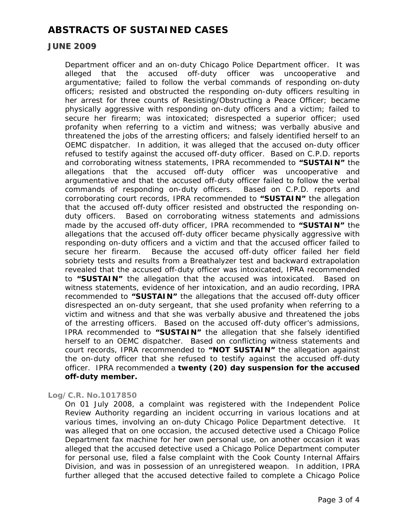## **JUNE 2009**

Department officer and an on-duty Chicago Police Department officer. It was alleged that the accused off-duty officer was uncooperative and argumentative; failed to follow the verbal commands of responding on-duty officers; resisted and obstructed the responding on-duty officers resulting in her arrest for three counts of Resisting/Obstructing a Peace Officer; became physically aggressive with responding on-duty officers and a victim; failed to secure her firearm; was intoxicated; disrespected a superior officer; used profanity when referring to a victim and witness; was verbally abusive and threatened the jobs of the arresting officers; and falsely identified herself to an OEMC dispatcher. In addition, it was alleged that the accused on-duty officer refused to testify against the accused off-duty officer. Based on C.P.D. reports and corroborating witness statements, IPRA recommended to **"SUSTAIN"** the allegations that the accused off-duty officer was uncooperative and argumentative and that the accused off-duty officer failed to follow the verbal commands of responding on-duty officers. Based on C.P.D. reports and corroborating court records, IPRA recommended to **"SUSTAIN"** the allegation that the accused off-duty officer resisted and obstructed the responding onduty officers. Based on corroborating witness statements and admissions made by the accused off-duty officer, IPRA recommended to **"SUSTAIN"** the allegations that the accused off-duty officer became physically aggressive with responding on-duty officers and a victim and that the accused officer failed to secure her firearm. Because the accused off-duty officer failed her field sobriety tests and results from a Breathalyzer test and backward extrapolation revealed that the accused off-duty officer was intoxicated, IPRA recommended to **"SUSTAIN"** the allegation that the accused was intoxicated. Based on witness statements, evidence of her intoxication, and an audio recording, IPRA recommended to **"SUSTAIN"** the allegations that the accused off-duty officer disrespected an on-duty sergeant, that she used profanity when referring to a victim and witness and that she was verbally abusive and threatened the jobs of the arresting officers. Based on the accused off-duty officer's admissions, IPRA recommended to **"SUSTAIN"** the allegation that she falsely identified herself to an OEMC dispatcher. Based on conflicting witness statements and court records, IPRA recommended to **"NOT SUSTAIN"** the allegation against the on-duty officer that she refused to testify against the accused off-duty officer. IPRA recommended a **twenty (20) day suspension for the accused off-duty member.** 

### *Log/C.R. No.1017850*

On 01 July 2008, a complaint was registered with the Independent Police Review Authority regarding an incident occurring in various locations and at various times, involving an on-duty Chicago Police Department detective. It was alleged that on one occasion, the accused detective used a Chicago Police Department fax machine for her own personal use, on another occasion it was alleged that the accused detective used a Chicago Police Department computer for personal use, filed a false complaint with the Cook County Internal Affairs Division, and was in possession of an unregistered weapon. In addition, IPRA further alleged that the accused detective failed to complete a Chicago Police